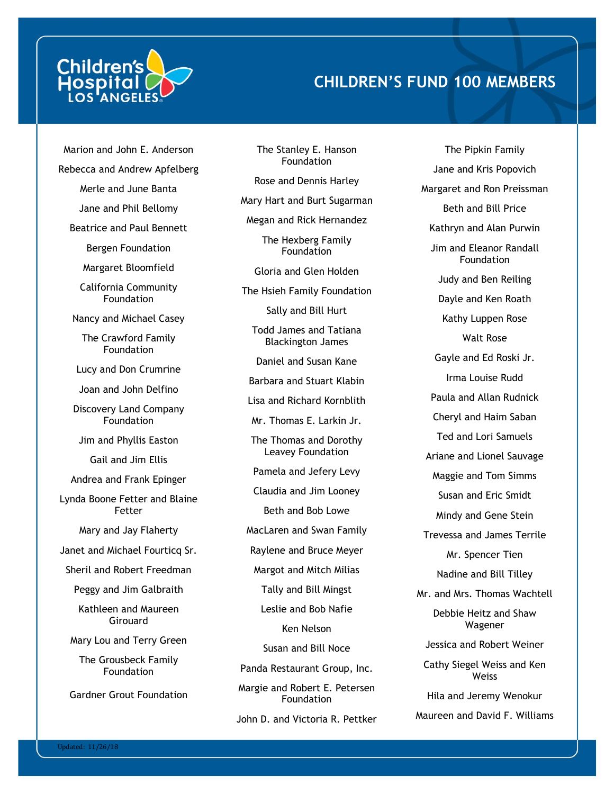

## **CHILDREN'S FUND 100 MEMBERS**

Marion and John E. Anderson Rebecca and Andrew Apfelberg Merle and June Banta Jane and Phil Bellomy Beatrice and Paul Bennett Bergen Foundation Margaret Bloomfield California Community **Foundation** Nancy and Michael Casey The Crawford Family Foundation Lucy and Don Crumrine Joan and John Delfino Discovery Land Company **Foundation** Jim and Phyllis Easton Gail and Jim Ellis Andrea and Frank Epinger Lynda Boone Fetter and Blaine Fetter Mary and Jay Flaherty Janet and Michael Fourticq Sr. Sheril and Robert Freedman Peggy and Jim Galbraith Kathleen and Maureen Girouard Mary Lou and Terry Green The Grousbeck Family **Foundation** Gardner Grout Foundation

The Stanley E. Hanson Foundation Rose and Dennis Harley Mary Hart and Burt Sugarman Megan and Rick Hernandez The Hexberg Family Foundation Gloria and Glen Holden The Hsieh Family Foundation Sally and Bill Hurt Todd James and Tatiana Blackington James Daniel and Susan Kane Barbara and Stuart Klabin Lisa and Richard Kornblith Mr. Thomas E. Larkin Jr. The Thomas and Dorothy Leavey Foundation Pamela and Jefery Levy Claudia and Jim Looney Beth and Bob Lowe MacLaren and Swan Family Raylene and Bruce Meyer Margot and Mitch Milias Tally and Bill Mingst Leslie and Bob Nafie Ken Nelson Susan and Bill Noce Panda Restaurant Group, Inc. Margie and Robert E. Petersen Foundation John D. and Victoria R. Pettker

The Pipkin Family Jane and Kris Popovich Margaret and Ron Preissman Beth and Bill Price Kathryn and Alan Purwin Jim and Eleanor Randall Foundation Judy and Ben Reiling Dayle and Ken Roath Kathy Luppen Rose Walt Rose Gayle and Ed Roski Jr. Irma Louise Rudd Paula and Allan Rudnick Cheryl and Haim Saban Ted and Lori Samuels Ariane and Lionel Sauvage Maggie and Tom Simms Susan and Eric Smidt Mindy and Gene Stein Trevessa and James Terrile Mr. Spencer Tien Nadine and Bill Tilley Mr. and Mrs. Thomas Wachtell Debbie Heitz and Shaw Wagener Jessica and Robert Weiner Cathy Siegel Weiss and Ken **Weiss** Hila and Jeremy Wenokur Maureen and David F. Williams